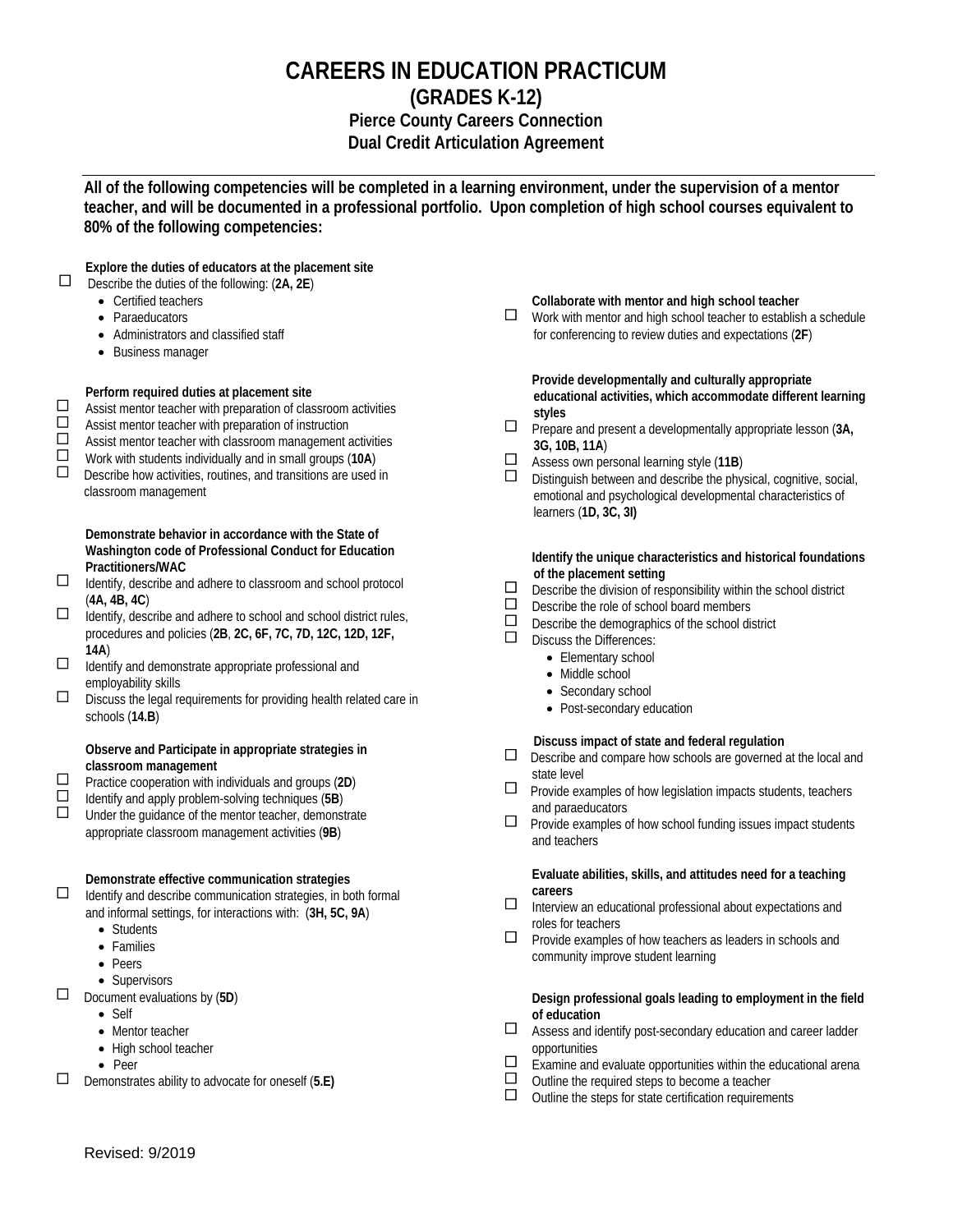### **CAREERS IN EDUCATION PRACTICUM (GRADES K-12) Pierce County Careers Connection Dual Credit Articulation Agreement**

**All of the following competencies will be completed in a learning environment, under the supervision of a mentor teacher, and will be documented in a professional portfolio. Upon completion of high school courses equivalent to 80% of the following competencies:**

**Explore the duties of educators at the placement site**<br> **E** Describe the duties of the following: (2A, 2F)

- Describe the duties of the following: (**2A, 2E**)
	- Certified teachers
	- Paraeducators
	- Administrators and classified staff
	- Business manager

# **Perform required duties at placement site**<br> **D** Assist mentor teacher with preparation of clas

 $\square$  Assist mentor teacher with preparation of classroom activities  $\square$  Assist mentor teacher with preparation of instruction Assist mentor teacher with preparation of instruction

 $\Box$  Assist mentor teacher with classroom management activities

Work with students individually and in small groups (**10A**)

 $\square$  Describe how activities, routines, and transitions are used in classroom management

 **Demonstrate behavior in accordance with the State of Washington code of Professional Conduct for Education Practitioners/WAC**

- $\Box$  Identify, describe and adhere to classroom and school protocol (**4A, 4B, 4C**)
- $\Box$  identify, describe and adhere to school and school district rules, procedures and policies (**2B**, **2C, 6F, 7C, 7D, 12C, 12D, 12F, 14A**)
- $\Box$  Identify and demonstrate appropriate professional and employability skills
- $\square$  Discuss the legal requirements for providing health related care in schools (**14.B**)

#### **Observe and Participate in appropriate strategies in classroom management**

Practice cooperation with individuals and groups (**2D**)

Identify and apply problem-solving techniques (**5B**)

 Under the guidance of the mentor teacher, demonstrate appropriate classroom management activities (**9B**)

# **Demonstrate effective communication strategies**<br> **D** Identify and describe communication strategies in bo

 Identify and describe communication strategies, in both formal and informal settings, for interactions with: (**3H, 5C, 9A**)

- Students
- Families
- Peers
- Supervisors
- Document evaluations by (**5D**)
	- Self
	- Mentor teacher
	- High school teacher
	- Peer

Demonstrates ability to advocate for oneself (**5.E)**

#### **Collaborate with mentor and high school teacher**

 $\Box$  Work with mentor and high school teacher to establish a schedule for conferencing to review duties and expectations (**2F**)

 **Provide developmentally and culturally appropriate educational activities, which accommodate different learning styles**

- Prepare and present a developmentally appropriate lesson (**3A, 3G, 10B, 11A**)
- Assess own personal learning style (11B)<br>■ Distinguish between and describe the phy
- Distinguish between and describe the physical, cognitive, social, emotional and psychological developmental characteristics of learners (**1D, 3C, 3I)**

 **Identify the unique characteristics and historical foundations of the placement setting**

- $\square$  Describe the division of responsibility within the school district  $\square$  Describe the role of school board members
- $\Box$  Describe the role of school board members  $\Box$  Describe the demographics of the school di-
- $\Box$  Describe the demographics of the school district  $\Box$  Discuss the Differences:
	- Discuss the Differences:
		- Elementary school
		- Middle school
		- Secondary school
		- Post-secondary education

## **Discuss impact of state and federal regulation**<br>
<u>Discribe and compare how schools are governed</u>

- Describe and compare how schools are governed at the local and state level
- $\square$  Provide examples of how legislation impacts students, teachers and paraeducators
- $\Box$  Provide examples of how school funding issues impact students and teachers

#### **Evaluate abilities, skills, and attitudes need for a teaching careers**

- $\square$  Interview an educational professional about expectations and roles for teachers
- $\Box$  Provide examples of how teachers as leaders in schools and community improve student learning

#### **Design professional goals leading to employment in the field of education**

- Assess and identify post-secondary education and career ladder opportunities
- $\Box$  Examine and evaluate opportunities within the educational arena<br> $\Box$  Outline the required steps to become a teacher
- $\square$  Outline the required steps to become a teacher  $\square$  Outline the steps for state certification requirement
- Outline the steps for state certification requirements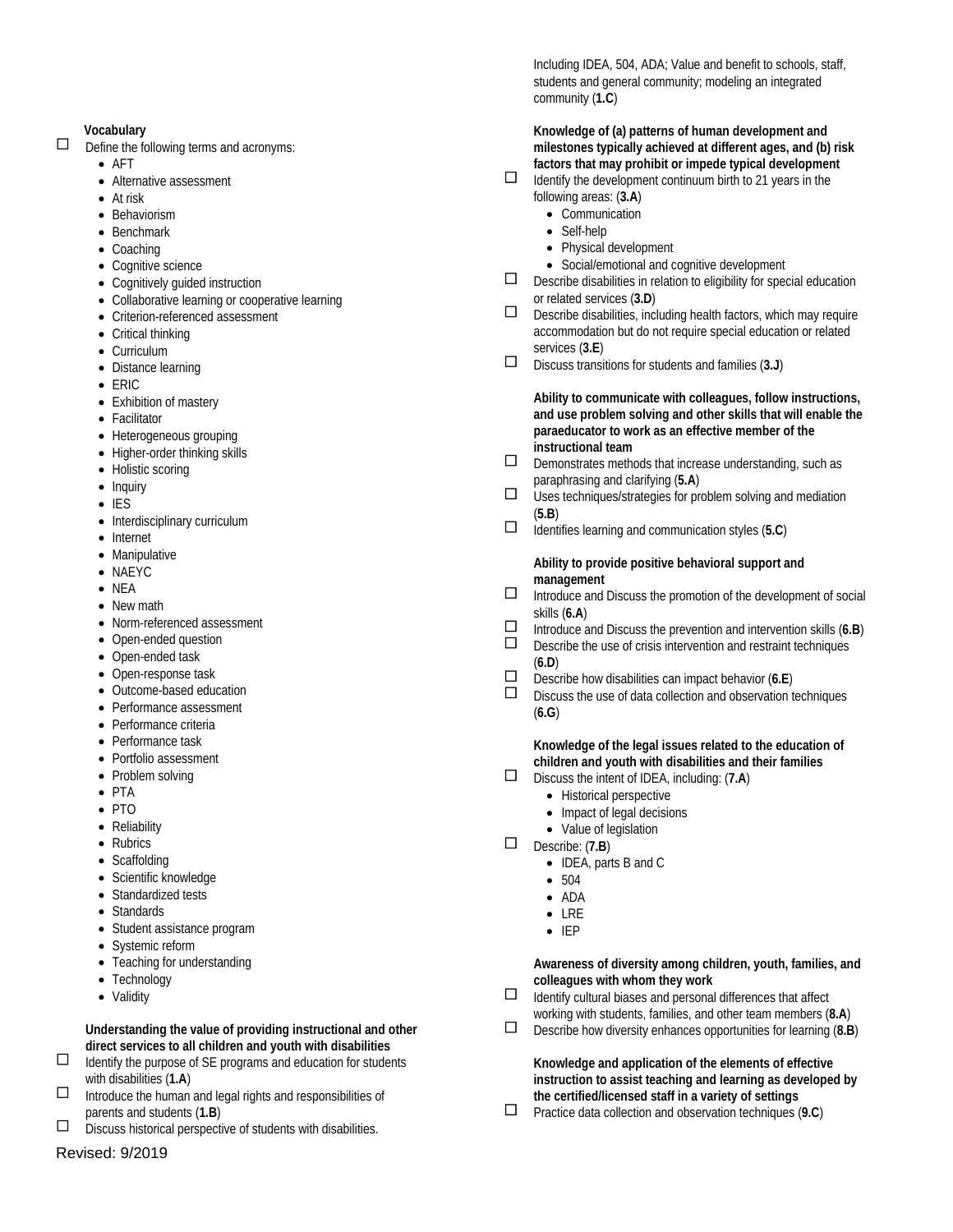#### **Vocabulary**

- $\Box$  Define the following terms and acronyms:
	- AFT
	- Alternative assessment
	- At risk
	- Behaviorism
	- Benchmark
	- Coaching
	- Cognitive science
	- Cognitively guided instruction
	- Collaborative learning or cooperative learning
	- Criterion-referenced assessment
	- Critical thinking
	- Curriculum
	- Distance learning
	- ERIC
	- Exhibition of mastery
	- Facilitator
	- Heterogeneous grouping
	- Higher-order thinking skills
	- Holistic scoring
	- Inquiry
	- IES
	- Interdisciplinary curriculum
	- Internet
	- Manipulative
	- NAEYC
	- NEA
	- New math
	- Norm-referenced assessment
	- Open-ended question
	- Open-ended task
	- Open-response task
	- Outcome-based education
	- Performance assessment
	- Performance criteria
	- Performance task
	- Portfolio assessment
	- Problem solving
	- PTA
	- PTO
	- Reliability
	- Rubrics
	- Scaffolding
	- Scientific knowledge
	- Standardized tests
	- Standards
	- Student assistance program
	- Systemic reform
	- Teaching for understanding
	- Technology
	- Validity

 **Understanding the value of providing instructional and other direct services to all children and youth with disabilities**

- $\Box$  Identify the purpose of SE programs and education for students with disabilities (**1.A**)
- $\Box$  Introduce the human and legal rights and responsibilities of parents and students (**1.B**)
- $\square$  Discuss historical perspective of students with disabilities.

### Revised: 9/2019

Including IDEA, 504, ADA; Value and benefit to schools, staff, students and general community; modeling an integrated community (**1.C**)

#### **Knowledge of (a) patterns of human development and milestones typically achieved at different ages, and (b) risk factors that may prohibit or impede typical development**

- $\Box$  Identify the development continuum birth to 21 years in the following areas: (**3.A**)
	- Communication
	- Self-help
	- Physical development
	- Social/emotional and cognitive development
- $\square$  Describe disabilities in relation to eligibility for special education or related services (**3.D**)
- $\square$  Describe disabilities, including health factors, which may require accommodation but do not require special education or related services (**3.E**)
- Discuss transitions for students and families (**3.J**)

#### **Ability to communicate with colleagues, follow instructions, and use problem solving and other skills that will enable the paraeducator to work as an effective member of the instructional team**

- $\square$  Demonstrates methods that increase understanding, such as paraphrasing and clarifying (**5.A**)
- $\square$  Uses techniques/strategies for problem solving and mediation (**5.B**)
- Identifies learning and communication styles (**5.C**)

#### **Ability to provide positive behavioral support and management**

- $\Box$  Introduce and Discuss the promotion of the development of social skills (**6.A**)
- Introduce and Discuss the prevention and intervention skills (**6.B**)
- Describe the use of crisis intervention and restraint techniques (**6.D**)
- Describe how disabilities can impact behavior (**6.E**)
	- Discuss the use of data collection and observation techniques (**6.G**)

#### **Knowledge of the legal issues related to the education of children and youth with disabilities and their families**

- Discuss the intent of IDEA, including: (**7.A**)
	- Historical perspective
	- Impact of legal decisions
	- Value of legislation
- Describe: (**7.B**)
	- IDEA, parts B and C
	- 504
	- ADA
	- LRE
	- IEP

#### **Awareness of diversity among children, youth, families, and colleagues with whom they work**

- $\Box$  Identify cultural biases and personal differences that affect working with students, families, and other team members (**8.A**)
- Describe how diversity enhances opportunities for learning (**8.B**)

### **Knowledge and application of the elements of effective instruction to assist teaching and learning as developed by the certified/licensed staff in a variety of settings**

Practice data collection and observation techniques (**9.C**)